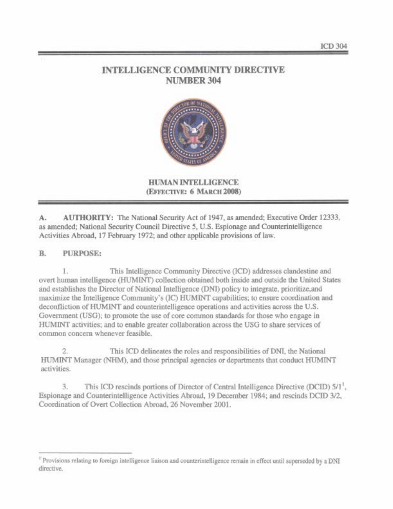# **INTELLIGENCE COMMUNITY DIRECTIVE NUMBER 304**



**HUMAN INTELLIGENCE** (EFFECTIVE: 6 MARCH 2008)

AUTHORITY: The National Security Act of 1947, as amended; Executive Order 12333, А. as amended; National Security Council Directive 5, U.S. Espionage and Counterintelligence Activities Abroad, 17 February 1972; and other applicable provisions of law.

#### R. PURPOSE:

This Intelligence Community Directive (ICD) addresses clandestine and 1. overt human intelligence (HUMINT) collection obtained both inside and outside the United States and establishes the Director of National Intelligence (DNI) policy to integrate, prioritize, and maximize the Intelligence Community's (IC) HUMINT capabilities; to ensure coordination and deconfliction of HUMINT and counterintelligence operations and activities across the U.S. Government (USG); to promote the use of core common standards for those who engage in HUMINT activities; and to enable greater collaboration across the USG to share services of common concern whenever feasible.

This ICD delineates the roles and responsibilities of DNI, the National 2. HUMINT Manager (NHM), and those principal agencies or departments that conduct HUMINT activities.

 $3.$ This ICD rescinds portions of Director of Central Intelligence Directive (DCID) 5/1<sup>1</sup>. Espionage and Counterintelligence Activities Abroad, 19 December 1984; and rescinds DCID 3/2, Coordination of Overt Collection Abroad, 26 November 2001.

<sup>&</sup>lt;sup>T</sup> Provisions relating to foreign intelligence liaison and counterintelligence remain in effect until superseded by a DNI directive.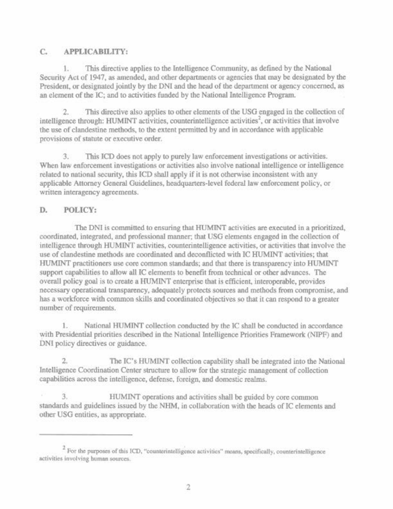#### $C_{\star}$ APPLICABILITY:

This directive applies to the Intelligence Community, as defined by the National  $1$ . Security Act of 1947, as amended, and other departments or agencies that may be designated by the President, or designated jointly by the DNI and the head of the department or agency concerned, as an element of the IC; and to activities funded by the National Intelligence Program.

This directive also applies to other elements of the USG engaged in the collection of  $2.$ intelligence through: HUMINT activities, counterintelligence activities<sup>2</sup>, or activities that involve the use of clandestine methods, to the extent permitted by and in accordance with applicable provisions of statute or executive order.

 $3.$ This ICD does not apply to purely law enforcement investigations or activities. When law enforcement investigations or activities also involve national intelligence or intelligence related to national security, this ICD shall apply if it is not otherwise inconsistent with any applicable Attorney General Guidelines, headquarters-level federal law enforcement policy, or written interagency agreements.

#### D. POLICY:

The DNI is committed to ensuring that HUMINT activities are executed in a prioritized, coordinated, integrated, and professional manner; that USG elements engaged in the collection of intelligence through HUMINT activities, counterintelligence activities, or activities that involve the use of clandestine methods are coordinated and deconflicted with IC HUMINT activities; that HUMINT practitioners use core common standards; and that there is transparency into HUMINT support capabilities to allow all IC elements to benefit from technical or other advances. The overall policy goal is to create a HUMINT enterprise that is efficient, interoperable, provides necessary operational transparency, adequately protects sources and methods from compromise, and has a workforce with common skills and coordinated objectives so that it can respond to a greater number of requirements.

 $1$ . National HUMINT collection conducted by the IC shall be conducted in accordance with Presidential priorities described in the National Intelligence Priorities Framework (NIPF) and DNI policy directives or guidance.

The IC's HUMINT collection capability shall be integrated into the National 2. Intelligence Coordination Center structure to allow for the strategic management of collection capabilities across the intelligence, defense, foreign, and domestic realms.

3. HUMINT operations and activities shall be guided by core common standards and guidelines issued by the NHM, in collaboration with the heads of IC elements and other USG entities, as appropriate.

 $2$  For the purposes of this ICD, "counterintelligence activities" means, specifically, counterintelligence activities involving human sources.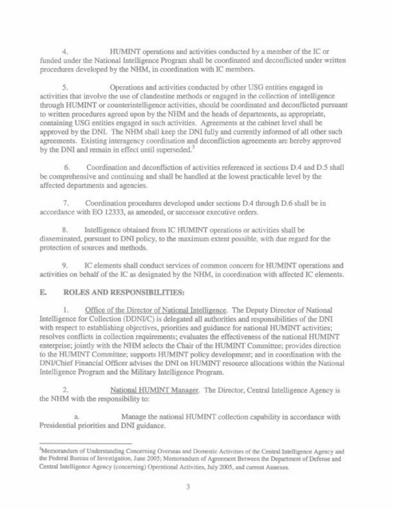$4.$  **HUMINT** operations and activities conducted by a member of the IC or funded under the National Intelligence Program shall be coordinated and deconflicted under written procedures developed by the NHM. in coordination witb IC members.

5. **Operations and activities conducted by other USG entities engaged in** activities that involve the use of clandestine methods or engaged in the collection of intelligence through HUMINT or counterintelligence activities, should be coordinated and deconflicted pursuant to written procedures agreed upon by the NHM and the heads of departments, as appropriate, **containing USG entities engaged in such activities. Agreements at the cabinet level shall be**  approved by the DNI. The NHM shall keep the DNI fully and currently informed of all other such **agreements. Existing interagency coordination and dcconfliction agreements an: bcreby approved**  by the DNI and remain in effect until superseded.<sup>3</sup>

 $6.$  Coordination and deconfliction of activities referenced in sections D.4 and D.5 shall be comprehensive and continuing and shall be handled at the lowest practicable level by the affected departments and agencies.

7. Coordination procedures developed under sections 0.4 through 0.6 shall be in accordance with EO 12333. as amended, or successor executive oroers.

8. Intelligence obtained from IC HUMINT operations or activities shall be **disseminated. pursuant to DNI policy. to the maximum extent possible, with due regard for the protection of sources and methods.** 

9. IC elements shall conduct services of common concern for HUMINT operations and **activities on behalf of the JC as designated by the NHM. in coordination with atfecled IC elements.** 

## E. ROLES AND RESPONSIBILITIES:

1. Office of the Director of National Intelligence. The Deputy Director of National Intelligence for Collection (DDNI/C) is delegated all authorities and responsibilities of the DNI with respect to establishing objectives, priorities and guidance for national HUMINT activities;  $r$ esolves conflicts in collection *requirements*; evaluates the effectiveness of the national HUMINT enterprise; jointly with the NHM selects the Chair of the HUMINT Committee; provides direction **to the HUMTNT Commirroe; supports HUMINT policy** development~ **and in coordination with the DNI/Chief Financial Officer advises the DNI on HUMINT resource allocations within the National** Intelligence Program and tbe Military Intelligence Program.

2. National HUMINT Manager. The Director, Central Intelligence Agency is the NHM with the responsibility to:

Manage the national HUMINT collection capability in accordance with Presidential priorities and DNI guidance.

<sup>&</sup>lt;sup>3</sup>Memorandum of Understanding Concerning Overseas and Domestic Activities of the Central Intelligence Agency and the Federal Bureau of Investigation, June 2005; Memorandum of Agreement Between the Department of Defense and  $Central Intelligence Agency (concerning) Operational Activities, July 2005, and current Annexes.$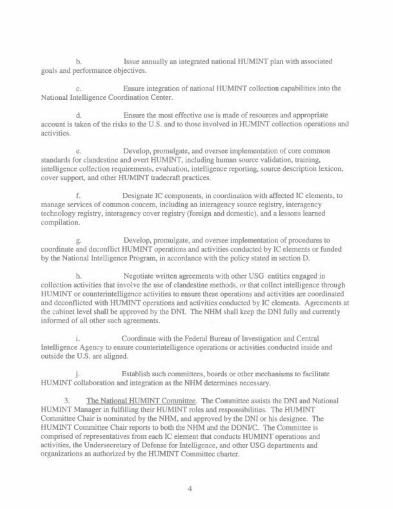b. Issue annually an integrated national HUMINT plan with associated goals and performance objectives.

c. **Ensure integration of national HUMINT collection capabilities into the** National Intelligence Coordination Center.

d. Ensure the most effective usc is made of resources and appropriate account is taken of the risks to the U.S. and to those involved in HUMINT collection operations and activities.

e. Develop, promulgate, and oversee implementation of core common standards for clandestine and overt IWMINT, including buman sowcc validation, training, intelligence collection requirements, evaluation, intelligence reporting, source description lexicon, cover support, and other HUMINT tradecraft practices.

f. Designate IC components. in coordination with affected IC elements. to manage services of common concern, including an interagency source registry, interagency technology registry, interagency cover registry (foreign and domestic), and a lessons learned compilation.

g. De\·elop, promulgate, and oversee implementation of procedures lo coordinate and deconflict HUMINT operations and activities conducted by IC elements or funded by tbe National Intelligence Program, in accordance with the policy stated in section D.

b. Ncgotiale written agreements with other USG entities engaged in collection activities that involve the use of clandestine methods, or that collect intelligence through HUMINT or counterintelligence activities 10 ensure these operations and activities arc coordinated and deconflicted with HUMINT operations and activities conducted by IC elements. Agreements at the cabinet level shall be approved by the DNI. The NHM shall keep the DNI fully and currently informed of all other sucb agreements.

Coordinate with the Federal Bureau of Investigation and Central Intelligence Agency to ensure counterintelligence operations or activities conducted inside and outside the U.S. arc aligned.

j. Establish such committees, boards or other mechanisms to facilitate HUMINT collaboration and integration as the NHM determines necessary.

3. The National HUMINT Committee. The Committee assists the DNI and National HUMINT Manager in fulfilling their HUMINT roles and responsibilities. The HUMINT Committee Chair is nominated by the NHM, and approved by the ON! or his designee. The HUMINT Committee Chair reports to both the NHM and the DDNI/C. The Committee is comprised of representatives from each IC element that conducts HUMINT operations and activities, the Undersecretary of Defense for Intelligence, and other USG departments and organizations as authorized by the HUMlNT Committee chaner.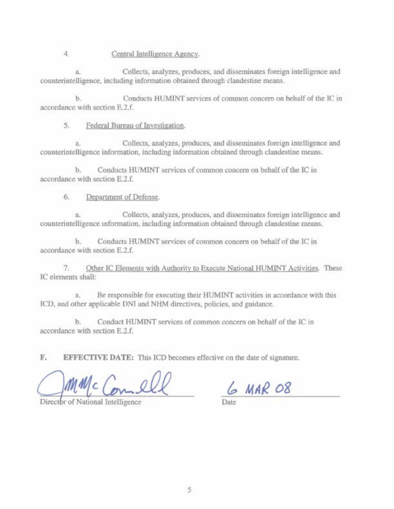4 Central Intelligence Agency.

a. Collects, analyzes, produces, and disseminates foreign intelligence and counterintelligence, including information obtained through clandestine means.

b. Conducts HUMINT services of common concern on behalf of the IC in accordance with section E.2.f.

5. Federal Bureau of Investigation.

a. Collects, analyzes, produces, and disseminates foreign intelligence and counterintelligence information, including information obtained through clandestine means.

b. Cooducts HUMINT services of common coocern on behalf of the JC in accordance with section E.2.f.

6. Department of Defense.

a. Collects, analyzes, produces, and disseminates foreign intelligence and oountcrintclligcncc mformation. including information obtained through clandestine means.

b. Conducts HUMINT services of common concern on behalf of the IC in accordance with section E.2.f.

7. Other IC Elements with Authority to Execute National HUMINT Activities. These IC clements shall:

a. Be responsible for executing their HUMINT activities in accordance with this ICD, and other applicable DNI and NHM directives, policies, and guidance.

b. Conduct HUMINT services of common concern on behalf of the IC in accordance with section E.2.f.

F. EFFECTIVE DATE: This ICD becomes effective on the date of signature.

Director of National Intelligence

6 MAR 08

Date